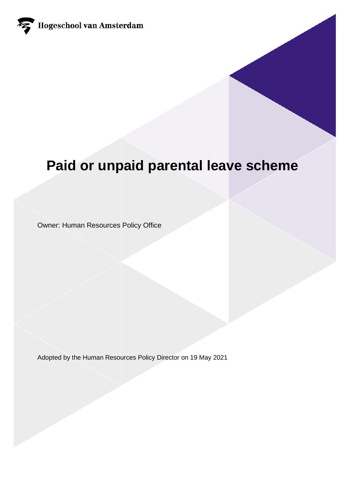

# **Paid or unpaid parental leave scheme**

Owner: Human Resources Policy Office

Adopted by the Human Resources Policy Director on 19 May 2021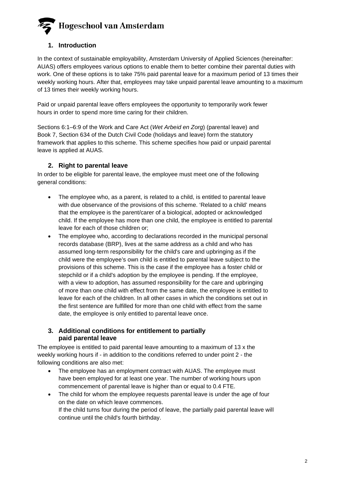### **1. Introduction**

In the context of sustainable employability, Amsterdam University of Applied Sciences (hereinafter: AUAS) offers employees various options to enable them to better combine their parental duties with work. One of these options is to take 75% paid parental leave for a maximum period of 13 times their weekly working hours. After that, employees may take unpaid parental leave amounting to a maximum of 13 times their weekly working hours.

Paid or unpaid parental leave offers employees the opportunity to temporarily work fewer hours in order to spend more time caring for their children.

Sections 6:1–6:9 of the Work and Care Act (*Wet Arbeid en Zorg*) (parental leave) and Book 7, Section 634 of the Dutch Civil Code (holidays and leave) form the statutory framework that applies to this scheme. This scheme specifies how paid or unpaid parental leave is applied at AUAS.

### **2. Right to parental leave**

In order to be eligible for parental leave, the employee must meet one of the following general conditions:

- The employee who, as a parent, is related to a child, is entitled to parental leave with due observance of the provisions of this scheme. 'Related to a child' means that the employee is the parent/carer of a biological, adopted or acknowledged child. If the employee has more than one child, the employee is entitled to parental leave for each of those children or;
- The employee who, according to declarations recorded in the municipal personal records database (BRP), lives at the same address as a child and who has assumed long-term responsibility for the child's care and upbringing as if the child were the employee's own child is entitled to parental leave subject to the provisions of this scheme. This is the case if the employee has a foster child or stepchild or if a child's adoption by the employee is pending. If the employee, with a view to adoption, has assumed responsibility for the care and upbringing of more than one child with effect from the same date, the employee is entitled to leave for each of the children. In all other cases in which the conditions set out in the first sentence are fulfilled for more than one child with effect from the same date, the employee is only entitled to parental leave once.

### **3. Additional conditions for entitlement to partially paid parental leave**

The employee is entitled to paid parental leave amounting to a maximum of 13 x the weekly working hours if - in addition to the conditions referred to under point 2 - the following conditions are also met:

- The employee has an employment contract with AUAS. The employee must have been employed for at least one year. The number of working hours upon commencement of parental leave is higher than or equal to 0.4 FTE.
- The child for whom the employee requests parental leave is under the age of four on the date on which leave commences. If the child turns four during the period of leave, the partially paid parental leave will continue until the child's fourth birthday.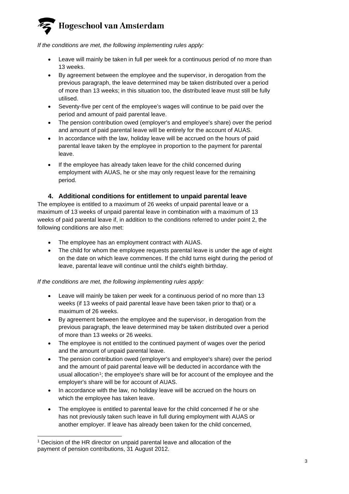*If the conditions are met, the following implementing rules apply:*

- Leave will mainly be taken in full per week for a continuous period of no more than 13 weeks.
- By agreement between the employee and the supervisor, in derogation from the previous paragraph, the leave determined may be taken distributed over a period of more than 13 weeks; in this situation too, the distributed leave must still be fully utilised.
- Seventy-five per cent of the employee's wages will continue to be paid over the period and amount of paid parental leave.
- The pension contribution owed (employer's and employee's share) over the period and amount of paid parental leave will be entirely for the account of AUAS.
- In accordance with the law, holiday leave will be accrued on the hours of paid parental leave taken by the employee in proportion to the payment for parental leave.
- If the employee has already taken leave for the child concerned during employment with AUAS, he or she may only request leave for the remaining period.

### **4. Additional conditions for entitlement to unpaid parental leave**

The employee is entitled to a maximum of 26 weeks of unpaid parental leave or a maximum of 13 weeks of unpaid parental leave in combination with a maximum of 13 weeks of paid parental leave if, in addition to the conditions referred to under point 2, the following conditions are also met:

- The employee has an employment contract with AUAS.
- The child for whom the employee requests parental leave is under the age of eight on the date on which leave commences. If the child turns eight during the period of leave, parental leave will continue until the child's eighth birthday.

### *If the conditions are met, the following implementing rules apply:*

- Leave will mainly be taken per week for a continuous period of no more than 13 weeks (if 13 weeks of paid parental leave have been taken prior to that) or a maximum of 26 weeks.
- By agreement between the employee and the supervisor, in derogation from the previous paragraph, the leave determined may be taken distributed over a period of more than 13 weeks or 26 weeks.
- The employee is not entitled to the continued payment of wages over the period and the amount of unpaid parental leave.
- The pension contribution owed (employer's and employee's share) over the period and the amount of paid parental leave will be deducted in accordance with the usual allocation<sup>1</sup>; the employee's share will be for account of the employee and the employer's share will be for account of AUAS.
- In accordance with the law, no holiday leave will be accrued on the hours on which the employee has taken leave.
- The employee is entitled to parental leave for the child concerned if he or she has not previously taken such leave in full during employment with AUAS or another employer. If leave has already been taken for the child concerned,

<span id="page-2-0"></span><sup>1</sup> Decision of the HR director on unpaid parental leave and allocation of the payment of pension contributions, 31 August 2012.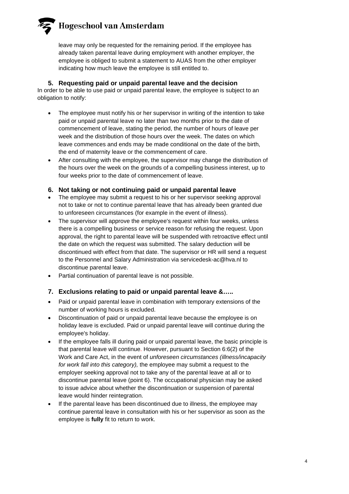leave may only be requested for the remaining period. If the employee has already taken parental leave during employment with another employer, the employee is obliged to submit a statement to AUAS from the other employer indicating how much leave the employee is still entitled to.

**5. Requesting paid or unpaid parental leave and the decision**

In order to be able to use paid or unpaid parental leave, the employee is subject to an obligation to notify:

- The employee must notify his or her supervisor in writing of the intention to take paid or unpaid parental leave no later than two months prior to the date of commencement of leave, stating the period, the number of hours of leave per week and the distribution of those hours over the week. The dates on which leave commences and ends may be made conditional on the date of the birth, the end of maternity leave or the commencement of care.
- After consulting with the employee, the supervisor may change the distribution of the hours over the week on the grounds of a compelling business interest, up to four weeks prior to the date of commencement of leave.
- **6. Not taking or not continuing paid or unpaid parental leave**
- The employee may submit a request to his or her supervisor seeking approval not to take or not to continue parental leave that has already been granted due to unforeseen circumstances (for example in the event of illness).
- The supervisor will approve the employee's request within four weeks, unless there is a compelling business or service reason for refusing the request. Upon approval, the right to parental leave will be suspended with retroactive effect until the date on which the request was submitted. The salary deduction will be discontinued with effect from that date. The supervisor or HR will send a request to the Personnel and Salary Administration via servicedesk-ac@hva.nl to discontinue parental leave.
- Partial continuation of parental leave is not possible.

### **7. Exclusions relating to paid or unpaid parental leave &…..**

- Paid or unpaid parental leave in combination with temporary extensions of the number of working hours is excluded.
- Discontinuation of paid or unpaid parental leave because the employee is on holiday leave is excluded. Paid or unpaid parental leave will continue during the employee's holiday.
- If the employee falls ill during paid or unpaid parental leave, the basic principle is that parental leave will continue. However, pursuant to Section 6:6(2) of the Work and Care Act, in the event of *unforeseen circumstances (illness/incapacity for work fall into this category),* the employee may submit a request to the employer seeking approval not to take any of the parental leave at all or to discontinue parental leave (point 6). The occupational physician may be asked to issue advice about whether the discontinuation or suspension of parental leave would hinder reintegration.
- If the parental leave has been discontinued due to illness, the employee may continue parental leave in consultation with his or her supervisor as soon as the employee is **fully** fit to return to work.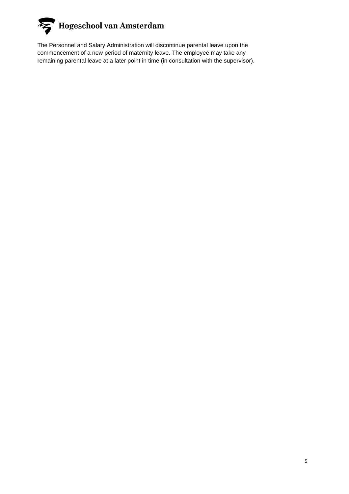

The Personnel and Salary Administration will discontinue parental leave upon the commencement of a new period of maternity leave. The employee may take any remaining parental leave at a later point in time (in consultation with the supervisor).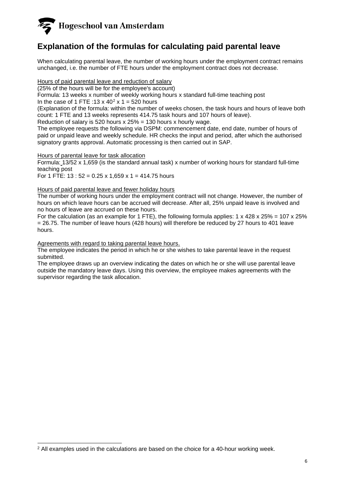## **Explanation of the formulas for calculating paid parental leave**

When calculating parental leave, the number of working hours under the employment contract remains unchanged, i.e. the number of FTE hours under the employment contract does not decrease.

Hours of paid parental leave and reduction of salary

(25% of the hours will be for the employee's account)

Formula: 13 weeks x number of weekly working hours x standard full-time teaching post

In the case of 1 FTE :  $13 \times 40^2 \times 1 = 520$  $13 \times 40^2 \times 1 = 520$  $13 \times 40^2 \times 1 = 520$  hours

(Explanation of the formula: within the number of weeks chosen, the task hours and hours of leave both count: 1 FTE and 13 weeks represents 414.75 task hours and 107 hours of leave).

Reduction of salary is 520 hours  $x$  25% = 130 hours  $x$  hourly wage.

The employee requests the following via DSPM: commencement date, end date, number of hours of paid or unpaid leave and weekly schedule. HR checks the input and period, after which the authorised signatory grants approval. Automatic processing is then carried out in SAP.

### Hours of parental leave for task allocation

Formula: 13/52 x 1,659 (is the standard annual task) x number of working hours for standard full-time teaching post

For 1 FTE:  $13 : 52 = 0.25 \times 1,659 \times 1 = 414.75$  hours

### Hours of paid parental leave and fewer holiday hours

The number of working hours under the employment contract will not change. However, the number of hours on which leave hours can be accrued will decrease. After all, 25% unpaid leave is involved and no hours of leave are accrued on these hours.

For the calculation (as an example for 1 FTE), the following formula applies:  $1 \times 428 \times 25\% = 107 \times 25\%$ = 26.75. The number of leave hours (428 hours) will therefore be reduced by 27 hours to 401 leave hours.

### Agreements with regard to taking parental leave hours.

The employee indicates the period in which he or she wishes to take parental leave in the request submitted.

The employee draws up an overview indicating the dates on which he or she will use parental leave outside the mandatory leave days. Using this overview, the employee makes agreements with the supervisor regarding the task allocation.

<span id="page-5-0"></span> $2$  All examples used in the calculations are based on the choice for a 40-hour working week.